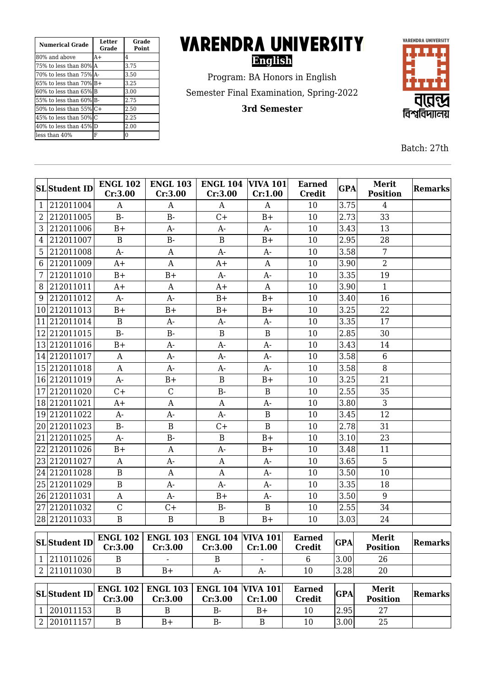| <b>Numerical Grade</b>        | Letter<br>Grade | Grade<br><b>Point</b> |  |
|-------------------------------|-----------------|-----------------------|--|
| 180% and above                | $A+$            | 4                     |  |
| 75% to less than 80% A        |                 | 3.75                  |  |
| 70% to less than 75% A-       |                 | 3.50                  |  |
| $65\%$ to less than $70\%$ B+ |                 | 3.25                  |  |
| 60% to less than 65%IB        |                 | 3.00                  |  |
| 55% to less than 60% B-       |                 | 2.75                  |  |
| 50% to less than $55\%$ C+    |                 | 2.50                  |  |
| 45% to less than 50%IC        |                 | 2.25                  |  |
| 40% to less than 45% D        |                 | 2.00                  |  |
| lless than 40%                | F               | 0                     |  |

# **VARENDRA UNIVERSITY English**

Program: BA Honors in English Semester Final Examination, Spring-2022

**3rd Semester**



Batch: 27th

|                | <b>SL</b> Student ID | <b>ENGL 102</b>            | <b>ENGL 103</b>                                    | <b>ENGL 104</b>                     | <b>VIVA 101</b> | <b>Earned</b>                  | <b>GPA</b> | Merit                    | <b>Remarks</b> |
|----------------|----------------------|----------------------------|----------------------------------------------------|-------------------------------------|-----------------|--------------------------------|------------|--------------------------|----------------|
|                |                      | Cr:3.00                    | Cr:3.00                                            | Cr:3.00                             | Cr:1.00         | <b>Credit</b>                  |            | <b>Position</b>          |                |
| $\mathbf{1}$   | 212011004            | A                          | A                                                  | $\mathbf{A}$                        | A               | 10                             | 3.75       | $\overline{4}$           |                |
| $\overline{2}$ | 212011005            | $B -$                      | $B -$                                              | $C +$                               | $B+$            | 10                             | 2.73       | 33                       |                |
| 3              | 212011006            | $B+$                       | $A-$                                               | $A-$                                | $A-$            | 10                             | 3.43       | 13                       |                |
| $\overline{4}$ | 212011007            | $\mathbf{B}$               | $B -$                                              | $\, {\bf B}$                        | $B+$            | 10                             | 2.95       | 28                       |                |
| 5              | 212011008            | A-                         | A                                                  | $A-$                                | $A-$            | 10                             | 3.58       | $\overline{7}$           |                |
| 6              | 212011009            | $A+$                       | $\mathbf{A}$                                       | $A+$                                | A               | 10                             | 3.90       | $\overline{2}$           |                |
| 7              | 212011010            | $B+$                       | $B+$                                               | $A-$                                | $A-$            | 10                             | 3.35       | 19                       |                |
| 8              | 212011011            | $A+$                       | A                                                  | $A+$                                | A               | 10                             | 3.90       | $\mathbf{1}$             |                |
| 9              | 212011012            | $A-$                       | $A-$                                               | $B+$                                | $B+$            | 10                             | 3.40       | 16                       |                |
|                | 10 212011013         | $B+$                       | $B+$                                               | $B+$                                | $B+$            | 10                             | 3.25       | 22                       |                |
| 11             | 212011014            | $\mathbf B$                | A-                                                 | $A-$                                | $A-$            | 10                             | 3.35       | 17                       |                |
|                | 12 212011015         | $B -$                      | $B -$                                              | $\, {\bf B}$                        | B               | 10                             | 2.85       | 30                       |                |
|                | 13 212011016         | $B+$                       | A-                                                 | $A-$                                | $A-$            | 10                             | 3.43       | 14                       |                |
|                | 14 212011017         | A                          | A-                                                 | $A-$                                | $A-$            | 10                             | 3.58       | $6\phantom{1}$           |                |
|                | 15 212011018         | $\mathbf{A}$               | $A-$                                               | $A-$                                | $A-$            | 10                             | 3.58       | 8                        |                |
|                | 16 212011019         | A-                         | $B+$                                               | $\mathbf B$                         | $B+$            | 10                             | 3.25       | 21                       |                |
|                | 17 212011020         | $C+$                       | $\mathcal{C}$                                      | $B -$                               | $\mathbf B$     | 10                             | 2.55       | 35                       |                |
|                | 18 212011021         | $A+$                       | $\mathbf{A}$                                       | A                                   | $A-$            | 10                             | 3.80       | 3                        |                |
|                | 19 212011022         | $A-$                       | A-                                                 | $A-$                                | $\mathbf B$     | 10                             | 3.45       | 12                       |                |
|                | 20 212011023         | $B -$                      | $\boldsymbol{B}$                                   | $C +$                               | $\mathbf B$     | 10                             | 2.78       | 31                       |                |
| 21             | 212011025            | A-                         | $B -$                                              | $\mathbf B$                         | $B+$            | 10                             | 3.10       | 23                       |                |
|                | 22 212011026         | $B+$                       | $\mathbf{A}$                                       | $A-$                                | $B+$            | 10                             | 3.48       | 11                       |                |
|                | 23 212011027         | $\mathbf{A}$               | $A-$                                               | $\mathbf{A}$                        | $A-$            | 10                             | 3.65       | 5                        |                |
|                | 24 212011028         | $\, {\bf B}$               | A                                                  | A                                   | $A-$            | 10                             | 3.50       | 10                       |                |
|                | 25 212011029         | $\, {\bf B}$               | A-                                                 | $A-$                                | $A-$            | 10                             | 3.35       | 18                       |                |
|                | 26 212011031         | A                          | A-                                                 | $B+$                                | A-              | 10                             | 3.50       | 9                        |                |
|                | 27 212011032         | $\mathcal{C}$              | $C +$                                              | $B -$                               | $\mathbf B$     | 10                             | 2.55       | 34                       |                |
|                | 28 212011033         | $\overline{B}$             | $\boldsymbol{B}$                                   | $\, {\bf B}$                        | $B+$            | 10                             | 3.03       | 24                       |                |
|                |                      |                            |                                                    |                                     |                 |                                |            |                          |                |
|                | SLStudent ID         |                            | <b>ENGL 102   ENGL 103   ENGL 104   VIVA 101  </b> |                                     |                 | <b>Earned</b>                  | <b>GPA</b> | Merit                    | <b>Remarks</b> |
|                |                      | Cr:3.00                    | Cr:3.00                                            | Cr:3.00                             | Cr:1.00         | <b>Credit</b>                  |            | <b>Position</b>          |                |
|                | 1 211011026          | B                          |                                                    | B                                   |                 | 6                              | 3.00       | 26                       |                |
|                | 2 211011030          | $\mathbf B$                | $B+$                                               | A-                                  | $A-$            | 10                             | 3.28       | 20                       |                |
|                | <b>SL</b> Student ID | <b>ENGL 102</b><br>Cr:3.00 | <b>ENGL 103</b><br>Cr:3.00                         | <b>ENGL 104 VIVA 101</b><br>Cr:3.00 | Cr:1.00         | <b>Earned</b><br><b>Credit</b> | <b>GPA</b> | Merit<br><b>Position</b> | <b>Remarks</b> |
|                | 1 201011153          | B                          | $\mathbf B$                                        | $B -$                               | $B+$            | 10                             | 2.95       | 27                       |                |
|                | 2 201011157          | $\mathbf B$                | $B+$                                               | $B-$                                | B               | 10                             | 3.00       | 25                       |                |
|                |                      |                            |                                                    |                                     |                 |                                |            |                          |                |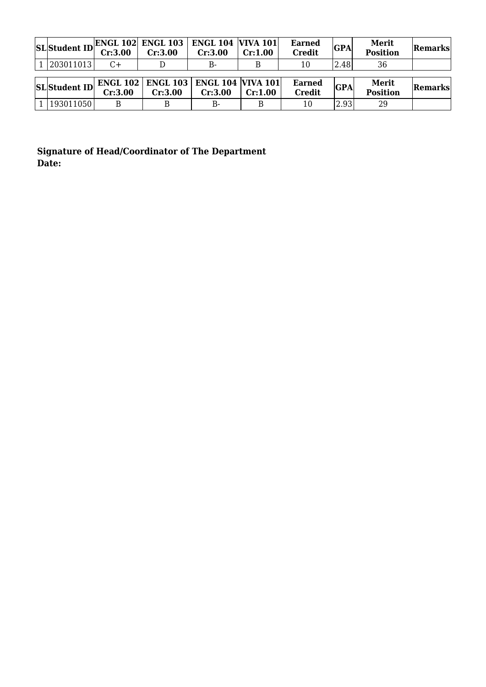|                      | Cr:3.00 | $\Big \text{SL}\Big \text{Student ID}\Big \text{ENGL 102}\Big $ ENGL 103 ENGL 104 VIVA 101<br>Cr:3.00 | Cr:3.00 | Cr:1.00 | <b>Earned</b><br><b>Credit</b> | <b>GPA</b> | <b>Merit</b><br><b>Position</b> | Remarks |
|----------------------|---------|-------------------------------------------------------------------------------------------------------|---------|---------|--------------------------------|------------|---------------------------------|---------|
| 1 203011013          | C+      |                                                                                                       | $B-$    |         | 10                             | 2.48       | 36                              |         |
| <b>SL</b> Student ID | Cr:3.00 | <b>ENGL 102   ENGL 103   ENGL 104   VIVA 101  </b><br>Cr:3.00                                         | Cr:3.00 | Cr:1.00 | <b>Earned</b><br><b>Credit</b> | <b>GPA</b> | <b>Merit</b><br><b>Position</b> | Remarks |
| 193011050            |         |                                                                                                       | $B-$    | B       | 10                             | 2.93       | 29                              |         |

**Signature of Head/Coordinator of The Department Date:**